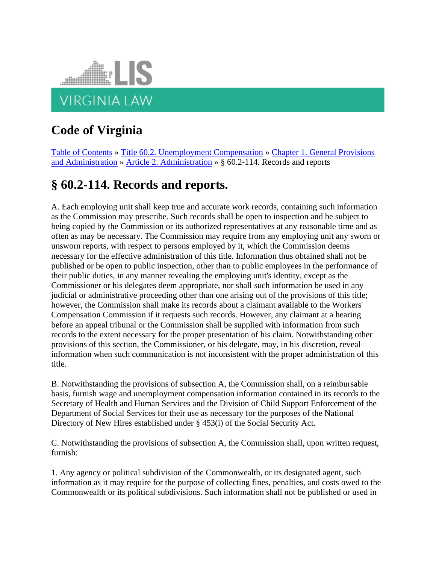

## **Code of Virginia**

[Table of Contents](https://law.lis.virginia.gov/vacode/) » [Title 60.2. Unemployment Compensation](https://law.lis.virginia.gov/vacode/title60.2/) » [Chapter 1. General Provisions](https://law.lis.virginia.gov/vacode/title60.2/chapter1/)  [and Administration](https://law.lis.virginia.gov/vacode/title60.2/chapter1/) » [Article 2. Administration](https://law.lis.virginia.gov/vacode/title60.2/chapter1/) » § 60.2-114. Records and reports

## **§ 60.2-114. Records and reports.**

A. Each employing unit shall keep true and accurate work records, containing such information as the Commission may prescribe. Such records shall be open to inspection and be subject to being copied by the Commission or its authorized representatives at any reasonable time and as often as may be necessary. The Commission may require from any employing unit any sworn or unsworn reports, with respect to persons employed by it, which the Commission deems necessary for the effective administration of this title. Information thus obtained shall not be published or be open to public inspection, other than to public employees in the performance of their public duties, in any manner revealing the employing unit's identity, except as the Commissioner or his delegates deem appropriate, nor shall such information be used in any judicial or administrative proceeding other than one arising out of the provisions of this title; however, the Commission shall make its records about a claimant available to the Workers' Compensation Commission if it requests such records. However, any claimant at a hearing before an appeal tribunal or the Commission shall be supplied with information from such records to the extent necessary for the proper presentation of his claim. Notwithstanding other provisions of this section, the Commissioner, or his delegate, may, in his discretion, reveal information when such communication is not inconsistent with the proper administration of this title.

B. Notwithstanding the provisions of subsection A, the Commission shall, on a reimbursable basis, furnish wage and unemployment compensation information contained in its records to the Secretary of Health and Human Services and the Division of Child Support Enforcement of the Department of Social Services for their use as necessary for the purposes of the National Directory of New Hires established under § 453(i) of the Social Security Act.

C. Notwithstanding the provisions of subsection A, the Commission shall, upon written request, furnish:

1. Any agency or political subdivision of the Commonwealth, or its designated agent, such information as it may require for the purpose of collecting fines, penalties, and costs owed to the Commonwealth or its political subdivisions. Such information shall not be published or used in